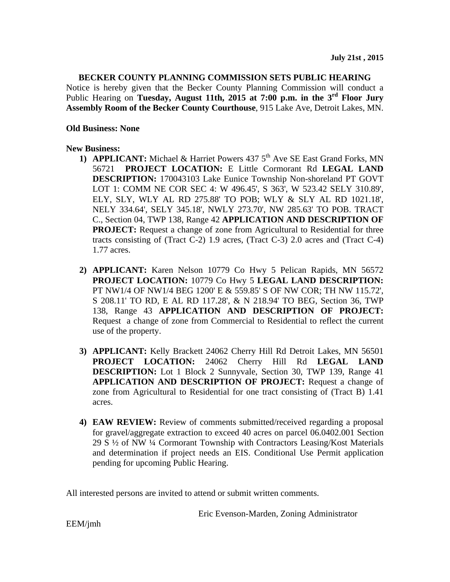### **BECKER COUNTY PLANNING COMMISSION SETS PUBLIC HEARING**

Notice is hereby given that the Becker County Planning Commission will conduct a Public Hearing on **Tuesday, August 11th, 2015 at 7:00 p.m. in the 3rd Floor Jury Assembly Room of the Becker County Courthouse**, 915 Lake Ave, Detroit Lakes, MN.

### **Old Business: None**

### **New Business:**

- **1) APPLICANT:** Michael & Harriet Powers 437 5<sup>th</sup> Ave SE East Grand Forks, MN 56721 **PROJECT LOCATION:** E Little Cormorant Rd **LEGAL LAND DESCRIPTION:** 170043103 Lake Eunice Township Non-shoreland PT GOVT LOT 1: COMM NE COR SEC 4: W 496.45', S 363', W 523.42 SELY 310.89', ELY, SLY, WLY AL RD 275.88' TO POB; WLY & SLY AL RD 1021.18', NELY 334.64', SELY 345.18', NWLY 273.70', NW 285.63' TO POB. TRACT C., Section 04, TWP 138, Range 42 **APPLICATION AND DESCRIPTION OF PROJECT:** Request a change of zone from Agricultural to Residential for three tracts consisting of (Tract C-2) 1.9 acres, (Tract C-3) 2.0 acres and (Tract C-4) 1.77 acres.
- **2) APPLICANT:** Karen Nelson 10779 Co Hwy 5 Pelican Rapids, MN 56572 **PROJECT LOCATION:** 10779 Co Hwy 5 **LEGAL LAND DESCRIPTION:**  PT NW1/4 OF NW1/4 BEG 1200' E & 559.85' S OF NW COR; TH NW 115.72', S 208.11' TO RD, E AL RD 117.28', & N 218.94' TO BEG, Section 36, TWP 138, Range 43 **APPLICATION AND DESCRIPTION OF PROJECT:**  Request a change of zone from Commercial to Residential to reflect the current use of the property.
- **3) APPLICANT:** Kelly Brackett 24062 Cherry Hill Rd Detroit Lakes, MN 56501 **PROJECT LOCATION:** 24062 Cherry Hill Rd **LEGAL LAND DESCRIPTION:** Lot 1 Block 2 Sunnyvale, Section 30, TWP 139, Range 41 **APPLICATION AND DESCRIPTION OF PROJECT:** Request a change of zone from Agricultural to Residential for one tract consisting of (Tract B) 1.41 acres.
- **4) EAW REVIEW:** Review of comments submitted/received regarding a proposal for gravel/aggregate extraction to exceed 40 acres on parcel 06.0402.001 Section 29 S ½ of NW ¼ Cormorant Township with Contractors Leasing/Kost Materials and determination if project needs an EIS. Conditional Use Permit application pending for upcoming Public Hearing.

All interested persons are invited to attend or submit written comments.

Eric Evenson-Marden, Zoning Administrator

EEM/jmh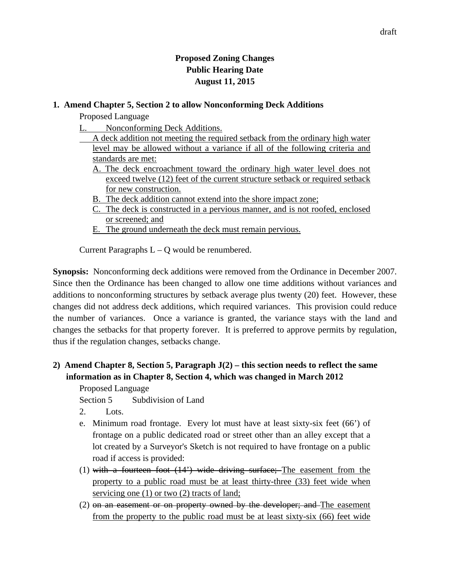## **Proposed Zoning Changes Public Hearing Date August 11, 2015**

### **1. Amend Chapter 5, Section 2 to allow Nonconforming Deck Additions**

Proposed Language

- L. Nonconforming Deck Additions.
	- A deck addition not meeting the required setback from the ordinary high water level may be allowed without a variance if all of the following criteria and standards are met:
		- A. The deck encroachment toward the ordinary high water level does not exceed twelve (12) feet of the current structure setback or required setback for new construction.
		- B. The deck addition cannot extend into the shore impact zone;
		- C. The deck is constructed in a pervious manner, and is not roofed, enclosed or screened; and
		- E. The ground underneath the deck must remain pervious.

Current Paragraphs  $L - Q$  would be renumbered.

**Synopsis:** Nonconforming deck additions were removed from the Ordinance in December 2007. Since then the Ordinance has been changed to allow one time additions without variances and additions to nonconforming structures by setback average plus twenty (20) feet. However, these changes did not address deck additions, which required variances. This provision could reduce the number of variances. Once a variance is granted, the variance stays with the land and changes the setbacks for that property forever. It is preferred to approve permits by regulation, thus if the regulation changes, setbacks change.

# **2) Amend Chapter 8, Section 5, Paragraph J(2) – this section needs to reflect the same information as in Chapter 8, Section 4, which was changed in March 2012**

Proposed Language

Section 5 Subdivision of Land

- 2. Lots.
- e. Minimum road frontage. Every lot must have at least sixty-six feet (66') of frontage on a public dedicated road or street other than an alley except that a lot created by a Surveyor's Sketch is not required to have frontage on a public road if access is provided:
- (1) with a fourteen foot  $(14^{\circ})$  wide driving surface; The easement from the property to a public road must be at least thirty-three (33) feet wide when servicing one (1) or two (2) tracts of land;
- (2) on an easement or on property owned by the developer; and The easement from the property to the public road must be at least sixty-six (66) feet wide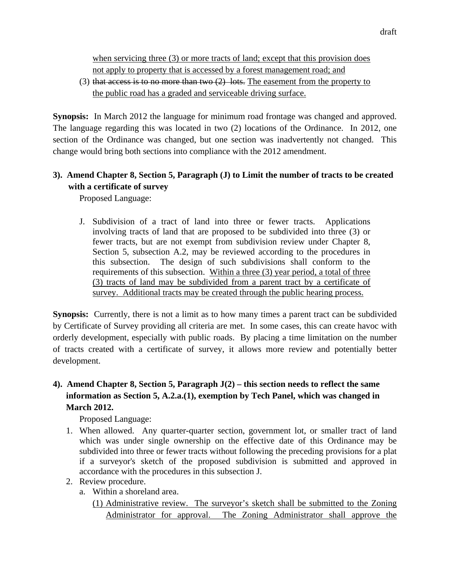when servicing three (3) or more tracts of land; except that this provision does not apply to property that is accessed by a forest management road; and

(3) that access is to no more than two  $(2)$  lots. The easement from the property to the public road has a graded and serviceable driving surface.

**Synopsis:** In March 2012 the language for minimum road frontage was changed and approved. The language regarding this was located in two (2) locations of the Ordinance. In 2012, one section of the Ordinance was changed, but one section was inadvertently not changed. This change would bring both sections into compliance with the 2012 amendment.

## **3). Amend Chapter 8, Section 5, Paragraph (J) to Limit the number of tracts to be created with a certificate of survey**

Proposed Language:

J. Subdivision of a tract of land into three or fewer tracts. Applications involving tracts of land that are proposed to be subdivided into three (3) or fewer tracts, but are not exempt from subdivision review under Chapter 8, Section 5, subsection A.2, may be reviewed according to the procedures in this subsection. The design of such subdivisions shall conform to the requirements of this subsection. Within a three (3) year period, a total of three (3) tracts of land may be subdivided from a parent tract by a certificate of survey. Additional tracts may be created through the public hearing process.

**Synopsis:** Currently, there is not a limit as to how many times a parent tract can be subdivided by Certificate of Survey providing all criteria are met. In some cases, this can create havoc with orderly development, especially with public roads. By placing a time limitation on the number of tracts created with a certificate of survey, it allows more review and potentially better development.

# **4). Amend Chapter 8, Section 5, Paragraph J(2) – this section needs to reflect the same information as Section 5, A.2.a.(1), exemption by Tech Panel, which was changed in March 2012.**

Proposed Language:

- 1. When allowed. Any quarter-quarter section, government lot, or smaller tract of land which was under single ownership on the effective date of this Ordinance may be subdivided into three or fewer tracts without following the preceding provisions for a plat if a surveyor's sketch of the proposed subdivision is submitted and approved in accordance with the procedures in this subsection J.
- 2. Review procedure.
	- a. Within a shoreland area.
		- (1) Administrative review. The surveyor's sketch shall be submitted to the Zoning Administrator for approval. The Zoning Administrator shall approve the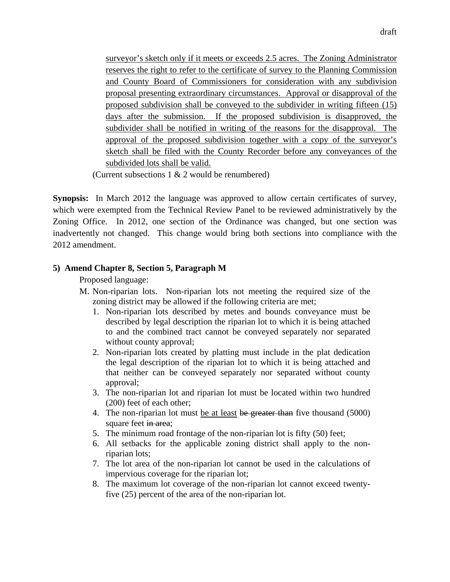surveyor's sketch only if it meets or exceeds 2.5 acres. The Zoning Administrator reserves the right to refer to the certificate of survey to the Planning Commission and County Board of Commissioners for consideration with any subdivision proposal presenting extraordinary circumstances. Approval or disapproval of the proposed subdivision shall be conveyed to the subdivider in writing fifteen (15) days after the submission. If the proposed subdivision is disapproved, the subdivider shall be notified in writing of the reasons for the disapproval. The approval of the proposed subdivision together with a copy of the surveyor's sketch shall be filed with the County Recorder before any conveyances of the subdivided lots shall be valid.

(Current subsections 1 & 2 would be renumbered)

**Synopsis:** In March 2012 the language was approved to allow certain certificates of survey, which were exempted from the Technical Review Panel to be reviewed administratively by the Zoning Office. In 2012, one section of the Ordinance was changed, but one section was inadvertently not changed. This change would bring both sections into compliance with the 2012 amendment.

### **5) Amend Chapter 8, Section 5, Paragraph M**

Proposed language:

- M. Non-riparian lots. Non-riparian lots not meeting the required size of the zoning district may be allowed if the following criteria are met;
	- 1. Non-riparian lots described by metes and bounds conveyance must be described by legal description the riparian lot to which it is being attached to and the combined tract cannot be conveyed separately nor separated without county approval;
	- 2. Non-riparian lots created by platting must include in the plat dedication the legal description of the riparian lot to which it is being attached and that neither can be conveyed separately nor separated without county approval;
	- 3. The non-riparian lot and riparian lot must be located within two hundred (200) feet of each other;
	- 4. The non-riparian lot must be at least be greater than five thousand (5000) square feet in area;
	- 5. The minimum road frontage of the non-riparian lot is fifty (50) feet;
	- 6. All setbacks for the applicable zoning district shall apply to the nonriparian lots;
	- 7. The lot area of the non-riparian lot cannot be used in the calculations of impervious coverage for the riparian lot;
	- 8. The maximum lot coverage of the non-riparian lot cannot exceed twentyfive (25) percent of the area of the non-riparian lot.